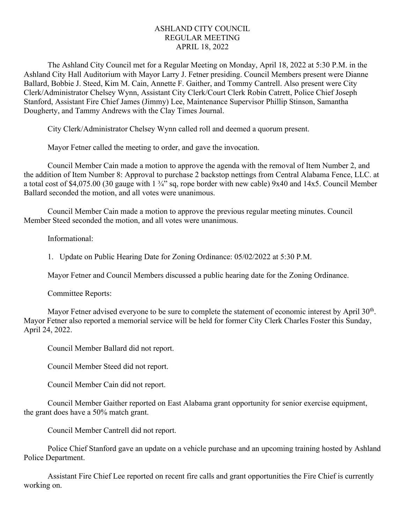## ASHLAND CITY COUNCIL REGULAR MEETING APRIL 18, 2022

The Ashland City Council met for a Regular Meeting on Monday, April 18, 2022 at 5:30 P.M. in the Ashland City Hall Auditorium with Mayor Larry J. Fetner presiding. Council Members present were Dianne Ballard, Bobbie J. Steed, Kim M. Cain, Annette F. Gaither, and Tommy Cantrell. Also present were City Clerk/Administrator Chelsey Wynn, Assistant City Clerk/Court Clerk Robin Catrett, Police Chief Joseph Stanford, Assistant Fire Chief James (Jimmy) Lee, Maintenance Supervisor Phillip Stinson, Samantha Dougherty, and Tammy Andrews with the Clay Times Journal.

City Clerk/Administrator Chelsey Wynn called roll and deemed a quorum present.

Mayor Fetner called the meeting to order, and gave the invocation.

Council Member Cain made a motion to approve the agenda with the removal of Item Number 2, and the addition of Item Number 8: Approval to purchase 2 backstop nettings from Central Alabama Fence, LLC. at a total cost of \$4,075.00 (30 gauge with  $1\frac{3}{4}$ " sq, rope border with new cable) 9x40 and 14x5. Council Member Ballard seconded the motion, and all votes were unanimous.

Council Member Cain made a motion to approve the previous regular meeting minutes. Council Member Steed seconded the motion, and all votes were unanimous.

Informational:

1. Update on Public Hearing Date for Zoning Ordinance: 05/02/2022 at 5:30 P.M.

Mayor Fetner and Council Members discussed a public hearing date for the Zoning Ordinance.

Committee Reports:

Mayor Fetner advised everyone to be sure to complete the statement of economic interest by April 30<sup>th</sup>. Mayor Fetner also reported a memorial service will be held for former City Clerk Charles Foster this Sunday, April 24, 2022.

Council Member Ballard did not report.

Council Member Steed did not report.

Council Member Cain did not report.

Council Member Gaither reported on East Alabama grant opportunity for senior exercise equipment, the grant does have a 50% match grant.

Council Member Cantrell did not report.

Police Chief Stanford gave an update on a vehicle purchase and an upcoming training hosted by Ashland Police Department.

Assistant Fire Chief Lee reported on recent fire calls and grant opportunities the Fire Chief is currently working on.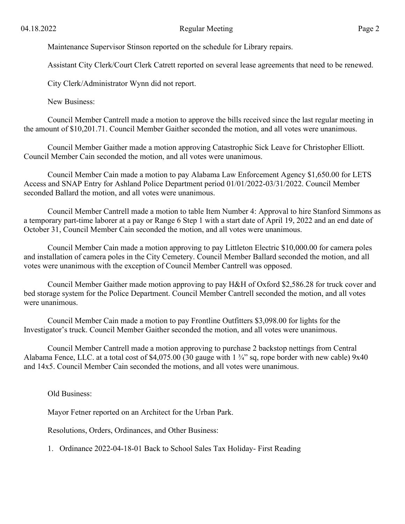Maintenance Supervisor Stinson reported on the schedule for Library repairs.

Assistant City Clerk/Court Clerk Catrett reported on several lease agreements that need to be renewed.

City Clerk/Administrator Wynn did not report.

New Business:

Council Member Cantrell made a motion to approve the bills received since the last regular meeting in the amount of \$10,201.71. Council Member Gaither seconded the motion, and all votes were unanimous.

Council Member Gaither made a motion approving Catastrophic Sick Leave for Christopher Elliott. Council Member Cain seconded the motion, and all votes were unanimous.

Council Member Cain made a motion to pay Alabama Law Enforcement Agency \$1,650.00 for LETS Access and SNAP Entry for Ashland Police Department period 01/01/2022-03/31/2022. Council Member seconded Ballard the motion, and all votes were unanimous.

Council Member Cantrell made a motion to table Item Number 4: Approval to hire Stanford Simmons as a temporary part-time laborer at a pay or Range 6 Step 1 with a start date of April 19, 2022 and an end date of October 31, Council Member Cain seconded the motion, and all votes were unanimous.

Council Member Cain made a motion approving to pay Littleton Electric \$10,000.00 for camera poles and installation of camera poles in the City Cemetery. Council Member Ballard seconded the motion, and all votes were unanimous with the exception of Council Member Cantrell was opposed.

Council Member Gaither made motion approving to pay H&H of Oxford \$2,586.28 for truck cover and bed storage system for the Police Department. Council Member Cantrell seconded the motion, and all votes were unanimous.

Council Member Cain made a motion to pay Frontline Outfitters \$3,098.00 for lights for the Investigator's truck. Council Member Gaither seconded the motion, and all votes were unanimous.

Council Member Cantrell made a motion approving to purchase 2 backstop nettings from Central Alabama Fence, LLC. at a total cost of \$4,075.00 (30 gauge with  $1\frac{3}{4}$ " sq, rope border with new cable) 9x40 and 14x5. Council Member Cain seconded the motions, and all votes were unanimous.

Old Business:

Mayor Fetner reported on an Architect for the Urban Park.

Resolutions, Orders, Ordinances, and Other Business:

1. Ordinance 2022-04-18-01 Back to School Sales Tax Holiday- First Reading